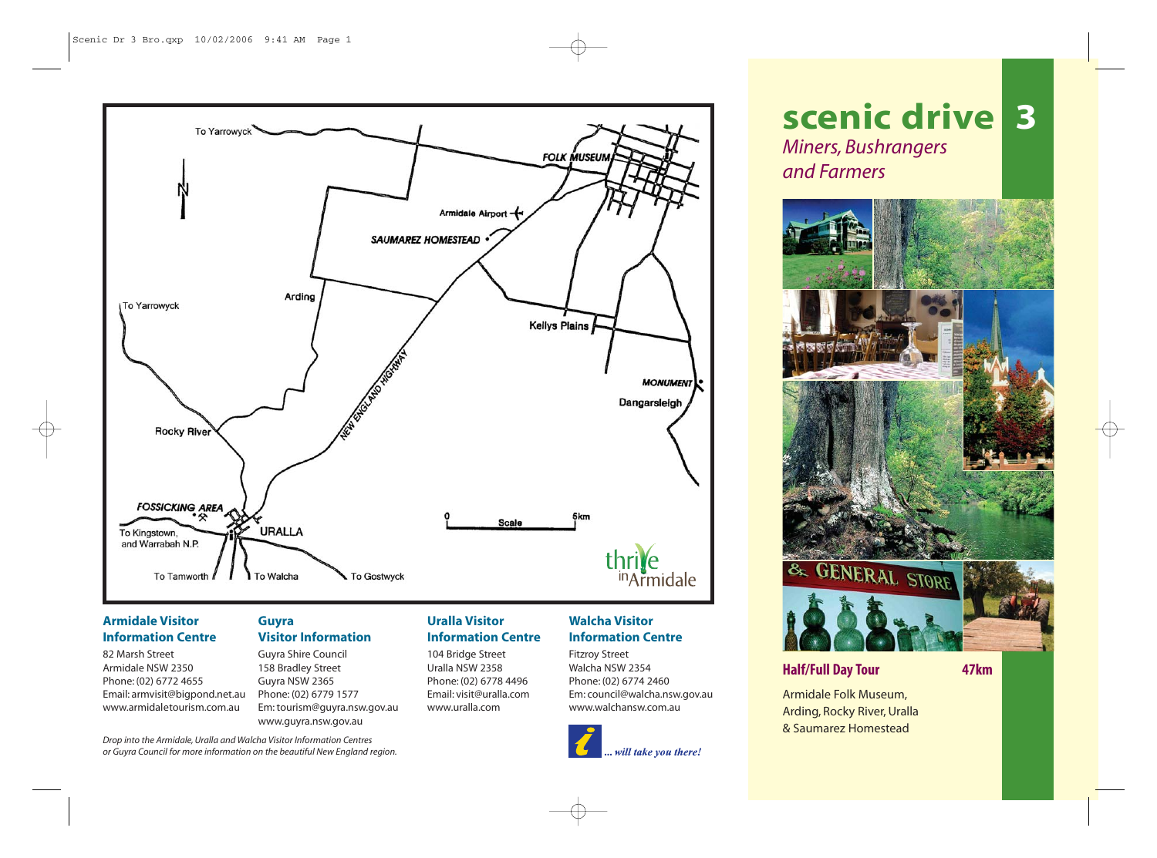

## **Armidale Visitor Information Centre**

82 Marsh Street Armidale NSW 2350 Phone: (02) 6772 4655 Email: armvisit@bigpond.net.au www.armidaletourism.com.au

*Drop into the Armidale, Uralla and Walcha Visitor Information Centres or Guyra Council for more information on the beautiful New England region.*

## **Guyra Visitor Information**

Guyra Shire Council 158 Bradley Street Guyra NSW 2365 Phone: (02) 6779 1577 Em: tourism@guyra.nsw.gov.au www.guyra.nsw.gov.au

## **Uralla Visitor Information Centre**

104 Bridge Street Uralla NSW 2358 Phone: (02) 6778 4496 Email: visit@uralla.com www.uralla.com

# **Walcha Visitor Information Centre**

Fitzroy Street Walcha NSW 2354 Phone: (02) 6774 2460 Em: council@walcha.nsw.gov.au www.walchansw.com.au



# **scenic drive 3** *Miners, Bushrangers and Farmers*



# **Half/Full Day Tour 47km**

Armidale Folk Museum, Arding, Rocky River, Uralla & Saumarez Homestead